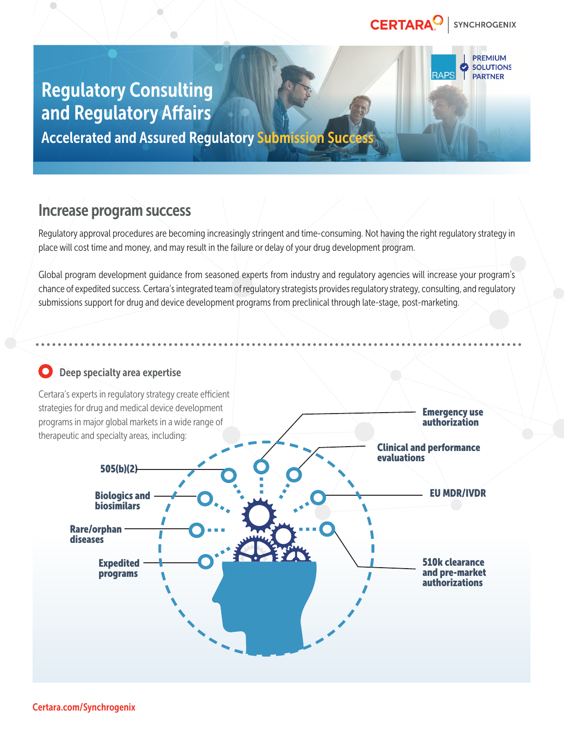#### CERTARA<sup>O</sup> **SYNCHROGENIX**

**PREMIUM SOLUTIONS PARTNER** 

Emergency use

# Regulatory Consulting and Regulatory Affairs **Accelerated and Assured Regulatory Submission Succe**

Increase program success

Regulatory approval procedures are becoming increasingly stringent and time-consuming. Not having the right regulatory strategy in place will cost time and money, and may result in the failure or delay of your drug development program.

Global program development guidance from seasoned experts from industry and regulatory agencies will increase your program's chance of expedited success. Certara's integrated team of regulatory strategists provides regulatory strategy, consulting, and regulatory submissions support for drug and device development programs from preclinical through late-stage, post-marketing.

## Deep specialty area expertise

Certara's experts in regulatory strategy create efficient strategies for drug and medical device development programs in major global markets in a wide range of therapeutic and specialty areas, including: